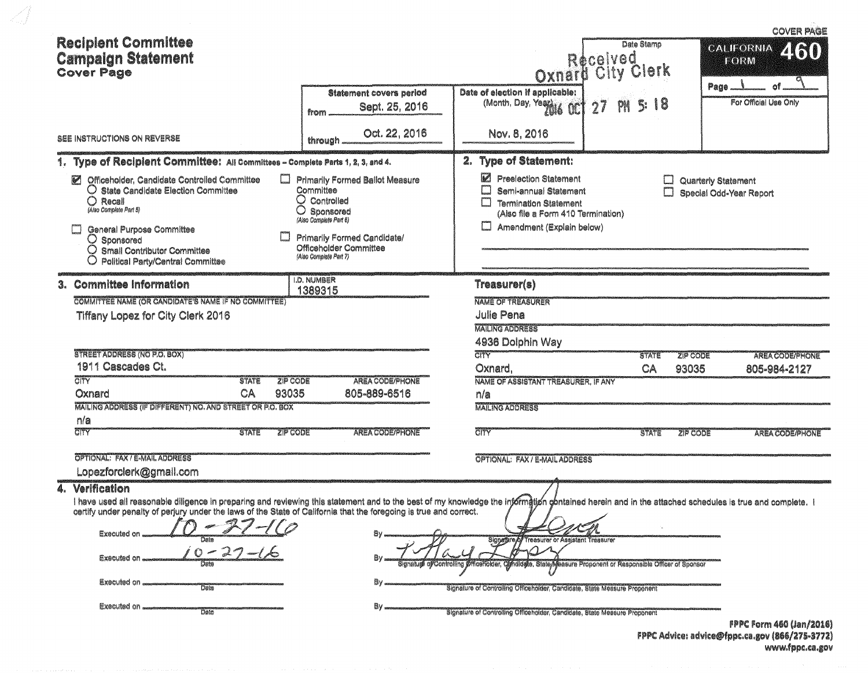| <b>Recipient Committee</b><br><b>Campalgn Statement</b><br><b>Cover Page</b>                                                                                                                                                                                                                                                                                                                                                                                                 |                                                                                                                                                                                                    | <b>Dxnard City C</b>                                                                                                                                                                                                                                                                                             | Date Stamp<br>Clerk | <b>COVER PAGE</b><br><b>CALIFORNIA</b><br>460<br>FORM |
|------------------------------------------------------------------------------------------------------------------------------------------------------------------------------------------------------------------------------------------------------------------------------------------------------------------------------------------------------------------------------------------------------------------------------------------------------------------------------|----------------------------------------------------------------------------------------------------------------------------------------------------------------------------------------------------|------------------------------------------------------------------------------------------------------------------------------------------------------------------------------------------------------------------------------------------------------------------------------------------------------------------|---------------------|-------------------------------------------------------|
|                                                                                                                                                                                                                                                                                                                                                                                                                                                                              | <b>Statement covers period</b>                                                                                                                                                                     | Date of election if applicable:                                                                                                                                                                                                                                                                                  |                     | Page<br>For Official Use Only                         |
|                                                                                                                                                                                                                                                                                                                                                                                                                                                                              | Sept. 25, 2016<br>from                                                                                                                                                                             | (Month, Day, Year) 607<br>27                                                                                                                                                                                                                                                                                     | 5:18<br>PN          |                                                       |
| SEE INSTRUCTIONS ON REVERSE                                                                                                                                                                                                                                                                                                                                                                                                                                                  | Oct. 22, 2016<br>through                                                                                                                                                                           | Nov. 8, 2016                                                                                                                                                                                                                                                                                                     |                     |                                                       |
| 1. Type of Recipient Committee: All Committees - Complete Parts 1, 2, 3, and 4.                                                                                                                                                                                                                                                                                                                                                                                              |                                                                                                                                                                                                    | 2. Type of Statement:                                                                                                                                                                                                                                                                                            |                     |                                                       |
| Officeholder, Candidate Controlled Committee<br>Ø<br>O State Candidate Election Committee<br>$\bigcirc$ Recall<br>(Also Complete Part 5)<br>General Purpose Committee<br>O Sponsored<br>O<br>Small Contributor Committee<br>Political Party/Central Committee                                                                                                                                                                                                                | <b>Primarily Formed Ballot Measure</b><br>Committee<br>O Controlled<br>O<br>Sponsored<br>(Also Complete Part 6)<br>Primarily Formed Candidate/<br>Officeholder Committee<br>(Alao Complete Part 7) | Ø<br>Preelection Statement<br>Semi-annual Statement<br>$\Box$<br><b>Termination Statement</b><br>(Also file a Form 410 Termination)<br>Amendment (Explain below)<br>ப                                                                                                                                            |                     | Quarterly Statement<br>Special Odd-Year Report        |
| 3. Committee Information                                                                                                                                                                                                                                                                                                                                                                                                                                                     | I.D. NUMBER<br>1389315                                                                                                                                                                             | Treasurer(s)                                                                                                                                                                                                                                                                                                     |                     |                                                       |
| COMMITTEE NAME (OR CANDIDATE'S NAME IF NO COMMITTEE)                                                                                                                                                                                                                                                                                                                                                                                                                         |                                                                                                                                                                                                    | <b>NAME OF TREASURER</b>                                                                                                                                                                                                                                                                                         |                     |                                                       |
| <b>Tiffany Lopez for City Clerk 2016</b>                                                                                                                                                                                                                                                                                                                                                                                                                                     |                                                                                                                                                                                                    | <b>Julie Pena</b>                                                                                                                                                                                                                                                                                                |                     |                                                       |
|                                                                                                                                                                                                                                                                                                                                                                                                                                                                              |                                                                                                                                                                                                    | <b>MAILING ADDRESS</b>                                                                                                                                                                                                                                                                                           |                     |                                                       |
|                                                                                                                                                                                                                                                                                                                                                                                                                                                                              |                                                                                                                                                                                                    | 4936 Dolphin Way                                                                                                                                                                                                                                                                                                 |                     |                                                       |
| STREET ADDRESS (NO P.O. BOX)                                                                                                                                                                                                                                                                                                                                                                                                                                                 |                                                                                                                                                                                                    | <b>CITY</b>                                                                                                                                                                                                                                                                                                      | <b>STATE</b>        | <b>ZIP CODE</b><br>AREA CODE/PHONE                    |
| 1911 Cascades Ct.<br><b>CITY</b><br><b>ZIP CODE</b>                                                                                                                                                                                                                                                                                                                                                                                                                          | AREA CODE/PHONE                                                                                                                                                                                    | Oxnard,                                                                                                                                                                                                                                                                                                          | CA                  | 93035<br>805-984-2127                                 |
| <b>STATE</b><br>CA<br>93035<br>Oxnard                                                                                                                                                                                                                                                                                                                                                                                                                                        | 805-889-6516                                                                                                                                                                                       | NAME OF ASSISTANT TREASURER, IF ANY<br>n/a                                                                                                                                                                                                                                                                       |                     |                                                       |
| MAILING ADDRESS (IF DIFFERENT) NO. AND STREET OR P.O. BOX                                                                                                                                                                                                                                                                                                                                                                                                                    |                                                                                                                                                                                                    | <b>MAILING ADDRESS</b>                                                                                                                                                                                                                                                                                           |                     |                                                       |
| n/a                                                                                                                                                                                                                                                                                                                                                                                                                                                                          |                                                                                                                                                                                                    |                                                                                                                                                                                                                                                                                                                  |                     |                                                       |
| <b>CITY</b><br><b>STATE</b><br><b>ZIP CODE</b>                                                                                                                                                                                                                                                                                                                                                                                                                               | AREA CODE/PHONE                                                                                                                                                                                    | city                                                                                                                                                                                                                                                                                                             | <b>STATE</b>        | <b>ZIP CODE</b><br>AREA CODE/PHONE                    |
| OPTIONAL: FAX / E-MAIL ADDRESS                                                                                                                                                                                                                                                                                                                                                                                                                                               |                                                                                                                                                                                                    | OPTIONAL: FAX / E-MAIL ADDRESS                                                                                                                                                                                                                                                                                   |                     |                                                       |
| Lopezforclerk@gmail.com                                                                                                                                                                                                                                                                                                                                                                                                                                                      |                                                                                                                                                                                                    |                                                                                                                                                                                                                                                                                                                  |                     |                                                       |
| 4. Verification<br>I have used all reasonable diligence in preparing and reviewing this statement and to the best of my knowledge the injormation contained herein and in the attached schedules is true and complete. I<br>certify under penalty of perjury under the laws of the State of California that the foregoing is true and correct.<br><b>Executed on</b><br>Date<br>$\circ$<br>$\sim$<br><b>Executed on</b><br>Executed on<br>Date<br><b>Executed on</b><br>Date |                                                                                                                                                                                                    | Signagure of Treasurer or Assistant Treasurer<br>Candidate, State/Measure Proponent or Responsible Officer of Sponsor<br>of Controlling @fficefiolder,<br>Signature of Controlling Officeholder, Candidate, State Measure Proconent<br>Signature of Controlling Officeholder, Candidate, State Measure Proponent |                     |                                                       |
|                                                                                                                                                                                                                                                                                                                                                                                                                                                                              |                                                                                                                                                                                                    |                                                                                                                                                                                                                                                                                                                  |                     | <b>FPPC Form 460 (Jan/2016)</b>                       |

- ZJ

FPPC Advice: advice@fppc.ca.gov (866/275-3772)<br>www.fppc.ca.gov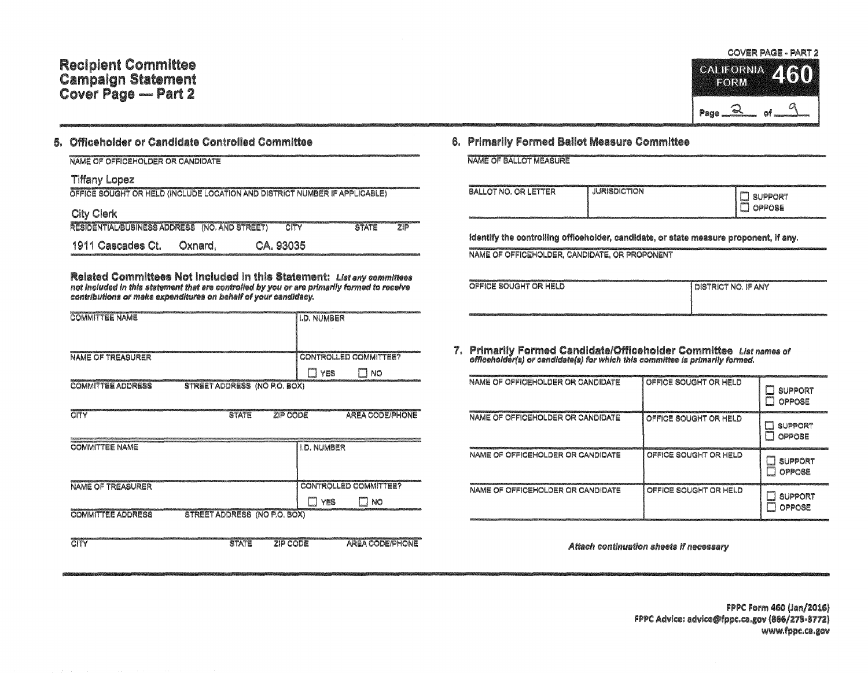## Recipient Committee<br>Campaign Statement<br>Cover Page — Part 2

**COVER PAGE - PART 2** CALIFORNIA / a) **FORM**  $Page_2$ 

| <b>Officeholder or Candidate Controlled Committee</b>                                              |  |
|----------------------------------------------------------------------------------------------------|--|
| NAME OF OFFICEHOLDER OR CANDIDATE                                                                  |  |
| <b>Tiffany Lopez</b><br>OFFICE SOUGHT OR HELD (INCLUDE LOCATION AND DISTRICT NUMBER IF APPLICABLE) |  |
| <b>City Clerk</b>                                                                                  |  |
| RESIDENTIAL/BUSINESS ADDRESS (NO. AND STREET)<br>CITY<br>21日<br><b>STATE</b>                       |  |
| 1911 Cascades Ct.<br>Oxnard.<br>CA. 93035                                                          |  |

Related Committees Not included in this Statement: List any committees not included in this statement that are controlled by you or are primarily formed to receive contributions or make expenditures on behalf of your candidacy.

| <b>COMMITTEE NAME</b>                                    | <b>I.D. NUMBER</b>           |
|----------------------------------------------------------|------------------------------|
|                                                          |                              |
| <b>NAME OF TREASURER</b>                                 | <b>CONTROLLED COMMITTEE?</b> |
| STREET ADDRESS (NO P.O. BOX)<br><b>COMMITTEE ADDRESS</b> | NO<br>YES                    |

| CITY                     | <b>STATE</b>                        | ZIP CODE      | AREA CODE/PHONE        |
|--------------------------|-------------------------------------|---------------|------------------------|
| <b>COMMITTEE NAME</b>    |                                     | I I.D. NUMBER |                        |
| <b>NAME OF TREASURER</b> |                                     |               | CONTROLLED COMMITTEE?  |
| <b>COMMITTEE ADDRESS</b> | <b>STREET ADDRESS (NO P.O. BOX)</b> | YES           | NO                     |
|                          | <b>STATE</b>                        | ZIP CODE      | <b>AREA CODE/PHONE</b> |

## 6. Primarily Formed Ballot Measure Committee

|  | <b>A DISPONSIBILITY A REPORT OF A DISPONSIBLE CONTACT OF CONSULTANCE OF A STATISTIC OF A STATISTIC CONTACT OF A STATISTIC CONTACT OF A STATISTIC CONTACT OF A STATISTIC CONTACT OF A STATISTIC CONTACT OF A STATISTIC CONTACT OF</b> |  |  |
|--|--------------------------------------------------------------------------------------------------------------------------------------------------------------------------------------------------------------------------------------|--|--|
|  |                                                                                                                                                                                                                                      |  |  |
|  |                                                                                                                                                                                                                                      |  |  |
|  | NAME OF BALLOT MEASURE                                                                                                                                                                                                               |  |  |
|  |                                                                                                                                                                                                                                      |  |  |
|  |                                                                                                                                                                                                                                      |  |  |

| <u> 1986 - German Maria Maria Maria Maria Maria Maria Maria Maria Maria Maria Maria Maria Maria Maria Maria Maria Maria Maria Maria Maria Maria Maria Maria Maria Maria Maria Maria Maria Maria Maria Maria Maria Maria Maria Ma</u><br><b>JURISDICTION</b><br>" NO. OR LETTER<br><b>BALLOT</b><br>former.<br><b>Arrangement</b><br>entrates | UPPORT.<br>S.I<br>oppose |
|----------------------------------------------------------------------------------------------------------------------------------------------------------------------------------------------------------------------------------------------------------------------------------------------------------------------------------------------|--------------------------|
|----------------------------------------------------------------------------------------------------------------------------------------------------------------------------------------------------------------------------------------------------------------------------------------------------------------------------------------------|--------------------------|

identify the controlling officeholder, candidate, or state measure proponent, if any.

NAME OF OFFICEHOLDER, CANDIDATE, OR PROPONENT

| OFFICE SOUGHT OR HELD | DISTRICT NO. IF ANY |
|-----------------------|---------------------|
|                       |                     |

7. Primarily Formed Candidate/Officeholder Committee List names of officeholder(s) or candidate(s) for which this committee is primarily formed.

| NAME OF OFFICEHOLDER OR CANDIDATE | OFFICE SOUGHT OR HELD | <b>SUPPORT</b><br>OPPOSE        |
|-----------------------------------|-----------------------|---------------------------------|
| NAME OF OFFICEHOLDER OR CANDIDATE | OFFICE SOUGHT OR HELD | <b>SUPPORT</b><br>OPPOSE        |
| NAME OF OFFICEHOLDER OR CANDIDATE | OFFICE SOUGHT OR HELD | <b>SUPPORT</b><br><b>OPPOSE</b> |
| NAME OF OFFICEHOLDER OR CANDIDATE | OFFICE SOUGHT OR HELD | <b>SUPPORT</b><br><b>OPPOSE</b> |

Attach continuation sheets if necessary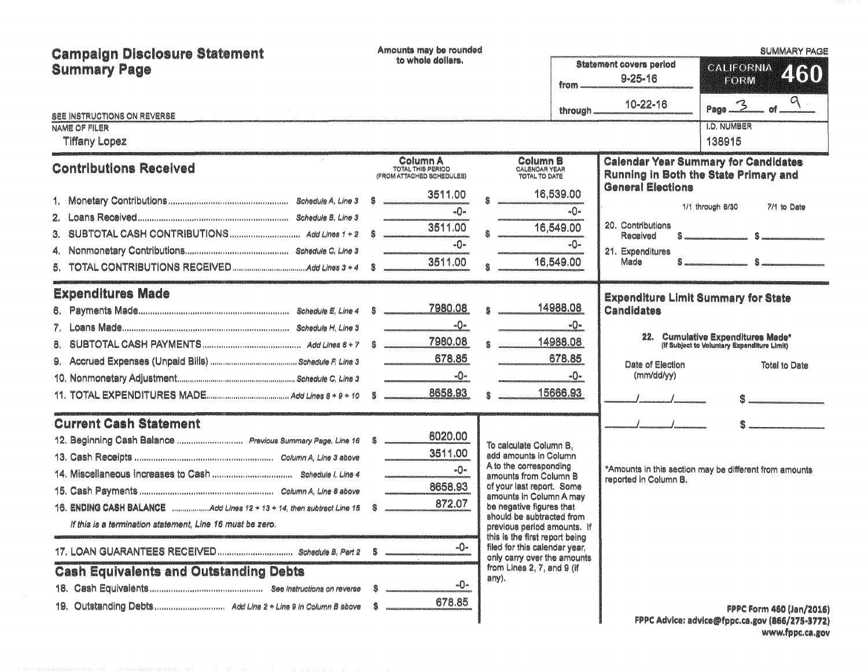| <b>Campaign Disclosure Statement</b><br><b>Summary Page</b><br>SEE INSTRUCTIONS ON REVERSE<br>NAME OF FILER                                                                                                                        | Amounts may be rounded<br>to whole dollars.                                                                          | from<br>through.                                                                                                                                                                                                                                                                     | <b>Statement covers period</b><br>$9 - 25 - 16$<br>10-22-16                                       | <b>SUMMARY PAGE</b><br><b>CALIFORNIA</b><br>460<br><b>FORM</b><br><b>Page <math>\frac{2}{3}</math> of <math>\frac{9}{3}</math></b><br><b>I.D. NUMBER</b> |
|------------------------------------------------------------------------------------------------------------------------------------------------------------------------------------------------------------------------------------|----------------------------------------------------------------------------------------------------------------------|--------------------------------------------------------------------------------------------------------------------------------------------------------------------------------------------------------------------------------------------------------------------------------------|---------------------------------------------------------------------------------------------------|----------------------------------------------------------------------------------------------------------------------------------------------------------|
| Tiffany Lopez<br><b>Contributions Received</b><br>2.<br>З.<br>5.                                                                                                                                                                   | <b>Column A</b><br>TOTAL THIS PERIOD<br>(FROM ATTACHED SCHEDULES)<br>3511.00<br>$-0-$<br>3511.00<br>$-0-$<br>3511.00 | Column B<br><b>CALENDAR YEAR</b><br>TOTAL TO DATE<br>16,539.00<br>-0-<br>16,549.00<br>-0-<br>16,549.00                                                                                                                                                                               | <b>General Elections</b><br>20. Contributions<br>Received<br>21. Expenditures<br>Made             | 138915<br><b>Calendar Year Summary for Candidates</b><br>Running in Both the State Primary and<br>1/1 through 8/30<br>7/1 to Date                        |
| <b>Expenditures Made</b><br>8.                                                                                                                                                                                                     | 7980.08<br>-0-<br>7980.08<br>678.85<br>$-0-$<br>8658.93                                                              | 14988.08<br>-0-<br>14988.08<br>678.85<br>-0-<br>15666.93                                                                                                                                                                                                                             | <b>Expenditure Limit Summary for State</b><br><b>Candidates</b><br>Date of Election<br>(mm/dd/yy) | 22. Cumulative Expenditures Made*<br>(If Subject to Voluntary Expenditure Limit)<br><b>Total to Date</b>                                                 |
| <b>Current Cash Statement</b><br>12. Beginning Cash Balance  Previous Summary Page, Line 16<br>16. ENDING CASH BALANCE  Add Lines 12 + 13 + 14, then subtract Line 15<br>If this is a termination statement, Line 16 must be zero. | 6020.00<br>3511.00<br>$\sqrt{a}$<br>8658.93<br>872.07                                                                | To calculate Column B.<br>add amounts in Column<br>A to the corresponding<br>amounts from Column B<br>of your last report. Some<br>amounts in Column A may<br>be negative figures that<br>should be subtracted from<br>previous period amounts. If<br>this is the first report being | reported in Column B.                                                                             | *Amounts in this section may be different from amounts                                                                                                   |
| <b>Cash Equivalents and Outstanding Debts</b>                                                                                                                                                                                      | -0-<br>S<br>$-Q-$<br>678.85                                                                                          | filed for this calendar year,<br>only carry over the amounts<br>from Lines 2, 7, and 9 (if<br>any).                                                                                                                                                                                  | EBBP Advisers advised B                                                                           | FPPC Form 460 (Jan/2016)                                                                                                                                 |

www.fppc.ca.gov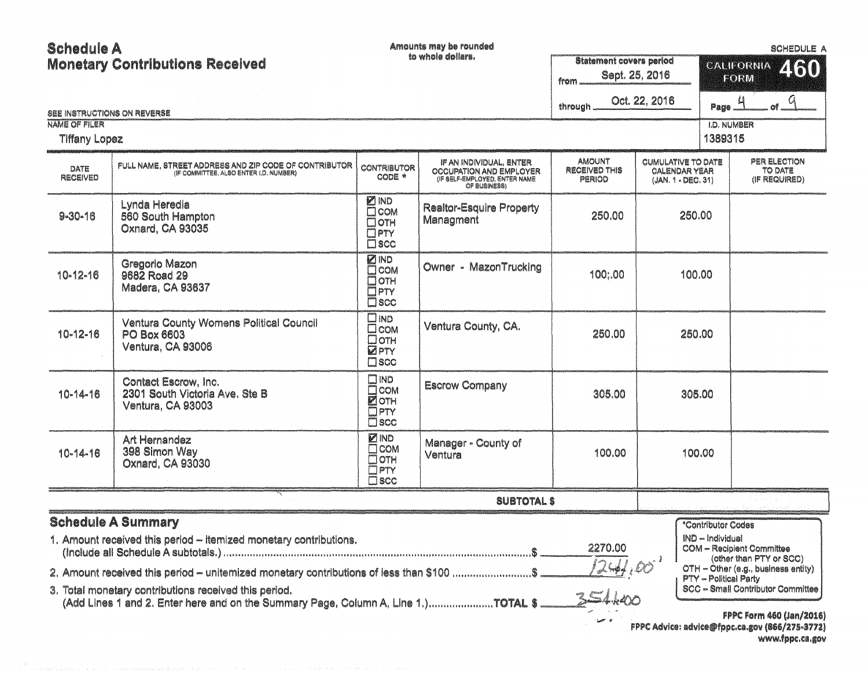**Schedule A** Amounts may be rounded **SCHEDULE A** to whole dollars. **Statement covers period Monetary Contributions Received CALIFORNIA** *IKI* Sept. 25, 2016 **FORM** from  $\mathcal{Q}_1$ Oct. 22, 2016  $\mu$ through Page. of . SEE INSTRUCTIONS ON REVERSE **NAME OF FILER I.D. NUMBER** 1389315 **Tiffany Lopez** PER ELECTION **AMOUNT CUMULATIVE TO DATE** IF AN INDIVIDUAL, ENTER FULL NAME. STREET ADDRESS AND ZIP CODE OF CONTRIBUTOR **CONTRIBUTOR** DATE **RECEIVED THIS CALENDAR YEAR** TO DATE **OCCUPATION AND EMPLOYER** (IF COMMITTEE, ALSO ENTER I, D. NUMBER) CODE \* **RECEIVED** (IF SELF-EMPLOYED, ENTER NAME **PERIOD** (IF REQUIRED) (JAN, 1 - DEC, 31) OF BUSINESS) **ZIND** Lynda Heredia **Realtor-Esquire Property**  $\Box$ COM 560 South Hampton 250.00  $9 - 30 - 16$ 250.00 Managment  $\Box$  OTH **Oxnard, CA 93035**  $EPTY$  $\square$  scc **ZIND Gregorio Mazon** Owner - MazonTrucking  $\overline{\Box}$  COM 100.00  $10-12-16$ 9682 Road 29 100:00  $\overline{\Box}$  OTH **Madera, CA 93637**  $\Box$ PTY  $\square$  scc  $\square$ MD Ventura County Womens Political Council Ventura County, CA.  $\square$  com 10-12-16 250,00 250.00 PO Box 6603 Потн Ventura, CA 93006 **ZPTY**  $\square$ scc  $\square$  IND Contact Escrow, Inc. **Escrow Company Ecom** 2301 South Victoria Ave. Ste B  $10-14-16$ 305.00 305.00  $\overline{M}$  OTH Ventura, CA 93003  $\overline{\Box}$ PTY  $\square$  scc **ZIND** Art Hernandez Manager - County of  $\Box$  COM 398 Simon Way 100.00 100.00  $10 - 14 - 16$ Ventura  $\Box$  OTH Oxnard, CA 93030 OPTY  $\square$  scc **SUBTOTAL \$ Schedule A Summary** \*Contributor Codes 1. Amount received this period - itemized monetary contributions. IND - Individual 2270.00 COM -- Recipient Committee 1244,00' (other than PTY or SCC) OTH - Other (e.g., business entity) 2. Amount received this period - unitemized monetary contributions of less than \$100 ........................\$ PTY - Political Party **SCC - Small Contributor Committee** 3. Total monetary contributions received this period.  $254.400$ (Add Lines 1 and 2. Enter here and on the Summary Page, Column A, Line 1.)......................TOTAL \$ **FPPC Form 460 (Jan/2016)** 

FPPC Advice: advice@fppc.ca.gov (866/275-3772) www.fppc.ca.gov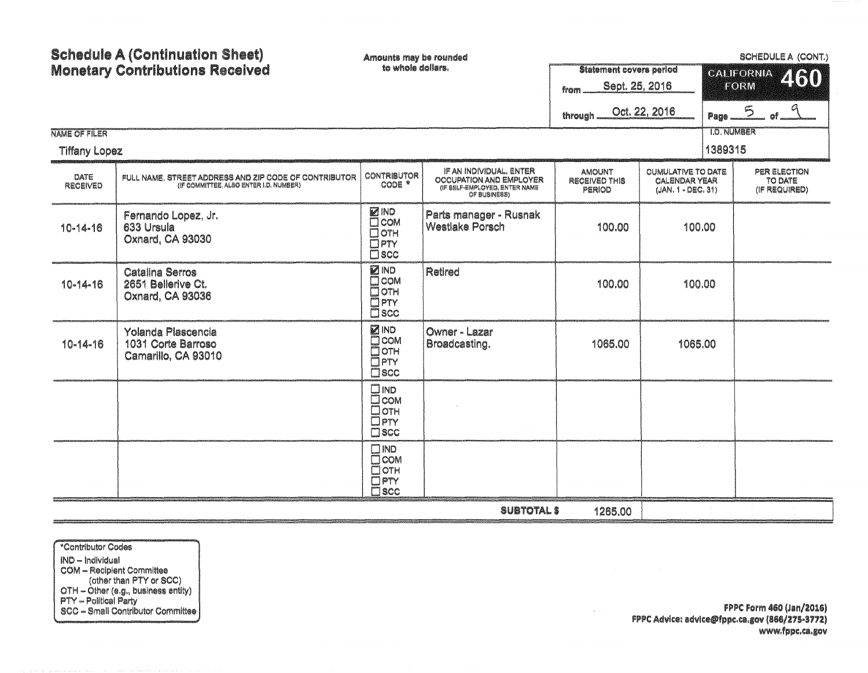| <b>NAME OF FILER</b><br><b>Tiffany Lopez</b> | <b>Schedule A (Continuation Sheet)</b><br><b>Monetary Contributions Received</b>                | Amounts may be rounded<br>to whole dollars.                                           |                                                                                                     | <b>Statement covers period</b><br>Sept. 25, 2016<br>from.<br>through | Oct. 22, 2016                                                           | <b>T.D. NUMBER</b><br>1389315 | SCHEDULE A (CONT.)<br><b>CALIFORNIA</b><br>460<br>FORM<br>Page $50 - 9$ |
|----------------------------------------------|-------------------------------------------------------------------------------------------------|---------------------------------------------------------------------------------------|-----------------------------------------------------------------------------------------------------|----------------------------------------------------------------------|-------------------------------------------------------------------------|-------------------------------|-------------------------------------------------------------------------|
| DATE<br><b>RECEIVED</b>                      | FULL NAME, STREET ADDRESS AND ZIP CODE OF CONTRIBUTOR<br>(IF COMMITTEE, ALSO ENTER I.D. NUMBER) | <b>CONTRIBUTOR</b><br>CODE *                                                          | IF AN INDIVIDUAL, ENTER<br>OCCUPATION AND EMPLOYER<br>(IF SELF-EMPLOYED, ENTER NAME<br>OF BUSINESS) | <b>AMOUNT</b><br><b>RECEIVED THIS</b><br>PERIOD                      | <b>CUMULATIVE TO DATE</b><br><b>CALENDAR YEAR</b><br>(JAN. 1 - DEC. 31) |                               | PER ELECTION<br>TO DATE<br>(IF REQUIRED)                                |
| $10 - 14 - 16$                               | Fernando Lopez, Jr.<br>633 Ursula<br>Oxnard, CA 93030                                           | <b>ZIND</b><br>$\Box$ COM<br>$\Box$ OTH<br>$\overline{\Box}$ PTY<br>$\square$ scc     | Parts manager - Rusnak<br><b>Westlake Porsch</b>                                                    | 100.00                                                               | 100.00                                                                  |                               |                                                                         |
| $10 - 14 - 16$                               | <b>Catalina Serros</b><br>2651 Bellerive Ct.<br><b>Oxnard, CA 93036</b>                         | <b>ZIND</b><br>$\square$ COM<br>$\Box$ OTH<br>$\square$ PTY<br>$\overline{\Box}$ scc  | Retired                                                                                             | 100,00                                                               | 100.00                                                                  |                               |                                                                         |
| $10 - 14 - 16$                               | Yolanda Plascencia<br>1031 Corte Barroso<br>Camarillo, CA 93010                                 | <b>ZIND</b><br><b>D</b> COM<br>Потн<br>$\overline{\Box}$ PTY<br>$\overline{\Box}$ scc | Owner - Lazar<br>Broadcasting.                                                                      | 1065.00                                                              | 1065.00                                                                 |                               |                                                                         |
|                                              |                                                                                                 | $\square$ IND<br>D <sub>com</sub><br>Потн<br>$\square$ PTY<br>$\square$ scc           |                                                                                                     |                                                                      |                                                                         |                               |                                                                         |
|                                              |                                                                                                 | $\square$ IND<br>$\square$ COM<br>$\Box$ OTH<br>$\Box$ PTY<br>$\square$ scc           |                                                                                                     |                                                                      |                                                                         |                               |                                                                         |
|                                              |                                                                                                 |                                                                                       | <b>SUBTOTAL \$</b>                                                                                  | 1265.00                                                              |                                                                         |                               |                                                                         |

\*Contributor Codes IND - Individual COM - Recipient Committee<br>
(other than PTY or SCC)<br>
OTH - Other (e.g., business entity)<br>
PTY - Political Party<br>
SCC - Small Contributor Committee

 $\sim$  200  $\%$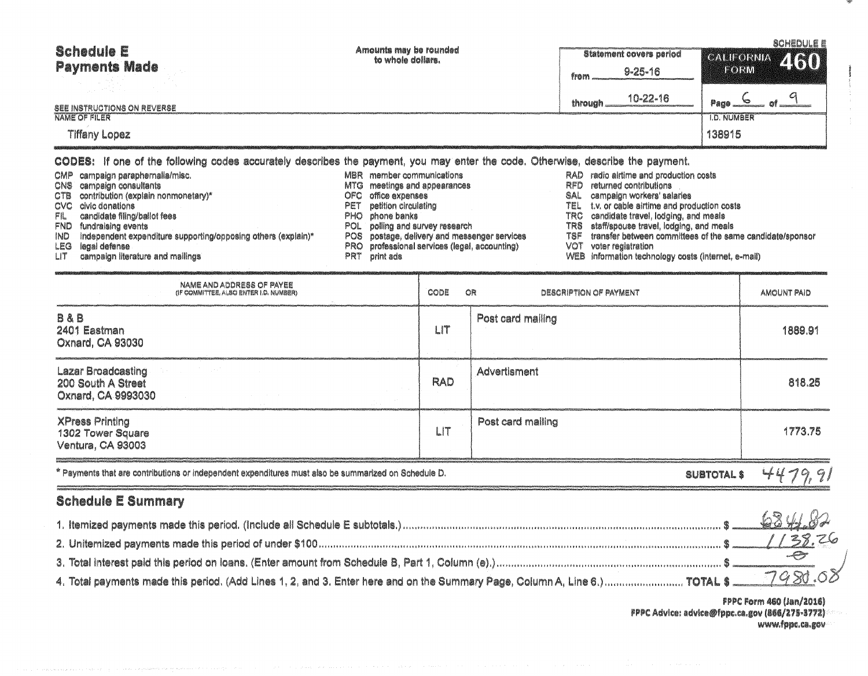| <b>Schedule E</b><br><b>Payments Made</b>                                                                                                  | Amounts may be rounded<br>to whole dollars.                                                                                | Statement covers period<br>$9 - 25 - 16$<br>from                                                                                                                   | <b>SCHEDULE E</b><br>CALIFORNIA 460<br><b>TEORIM</b> |  |
|--------------------------------------------------------------------------------------------------------------------------------------------|----------------------------------------------------------------------------------------------------------------------------|--------------------------------------------------------------------------------------------------------------------------------------------------------------------|------------------------------------------------------|--|
| 医血管动脉 经国际<br>SEE INSTRUCTIONS ON REVERSE<br><b>NAME OF FILER</b>                                                                           |                                                                                                                            | $10 - 22 - 16$<br>through                                                                                                                                          | Page _<br><b>I.D. NUMBER</b>                         |  |
| Tiffany Lopez                                                                                                                              |                                                                                                                            |                                                                                                                                                                    | 138915                                               |  |
| CODES: If one of the following codes accurately describes the payment, you may enter the code. Otherwise, describe the payment.            |                                                                                                                            |                                                                                                                                                                    |                                                      |  |
| campaign paraphernalia/misc.<br>CMP.<br>campaign consultants<br>CNS 1<br>contribution (explain nonmonetary)*<br>CTB<br>CVC civic donations | member communications<br>MBR<br>meetings and appearances<br>MTG.<br>office expenses<br>OFC.<br>PET<br>petition circulating | radio airtime and production costs<br>RAD.<br>RFD<br>returned contributions<br>SAL<br>campaign workers' salaries<br>TEL t.v. or cable airtime and production costs |                                                      |  |

- FIL candidate filing/ballot fees
- FND fundraising events
- Independent expenditure supporting/opposing others (explain)\* IND.
- LEG legal defense
- campaign literature and mailings LIT
- - TEL t.v. or cable airtime and production costs<br>TEL t.v. or cable airtime and production costs<br>TRC candidate travel, lodging, and meals
	-
	- TRS staff/spouse travel, lodging, and meals
	- TSF transfer between committees of the same candidate/sponsor

eartha).

3.

- VOT voter registration
- WEB information technology costs (internet, e-mail)

| NAME AND ADDRESS OF PAYEE<br>(IF COMMITTEE, ALSO ENTER I.D. NUMBER)                                  | CODE            | OR<br>DESCRIPTION OF PAYMENT | AMOUNT PAID |
|------------------------------------------------------------------------------------------------------|-----------------|------------------------------|-------------|
| <b>B&amp;B</b><br>2401 Eastman<br>Oxnard, CA 93030                                                   | LIT <sup></sup> | Post card mailing            | 1889.91     |
| <b>Lazar Broadcasting</b><br>200 South A Street<br>Oxnard, CA 9993030                                | RAD             | Advertisment                 | 818.25      |
| <b>XPress Printing</b><br>1302 Tower Square<br>Ventura, CA 93003                                     | LIT             | Post card mailing            | 1773.75     |
| * Payments that are contributions or independent expenditures must also be summarized on Schedule D. |                 | <b>SUBTOTAL \$</b>           |             |
| <b>Schedule E Summary</b>                                                                            |                 |                              |             |
|                                                                                                      |                 |                              | <u>6341</u> |
|                                                                                                      |                 |                              | 1138.20     |

| 4. Total payments made this period. (Add Lines 1, 2, and 3. Enter here and on the Summary Page, Column A, Line 6.) TOTAL \$ |  |
|-----------------------------------------------------------------------------------------------------------------------------|--|

PHO phone banks

PRT print ads

POL polling and survey research

POS postage, delivery and messenger services

PRO professional services (legal, accounting)

FPPC Form 460 (Jan/2016) FPPC Advice: advice@fppc.ca.gov (866/275-3772) www.fppc.ca.gov

7980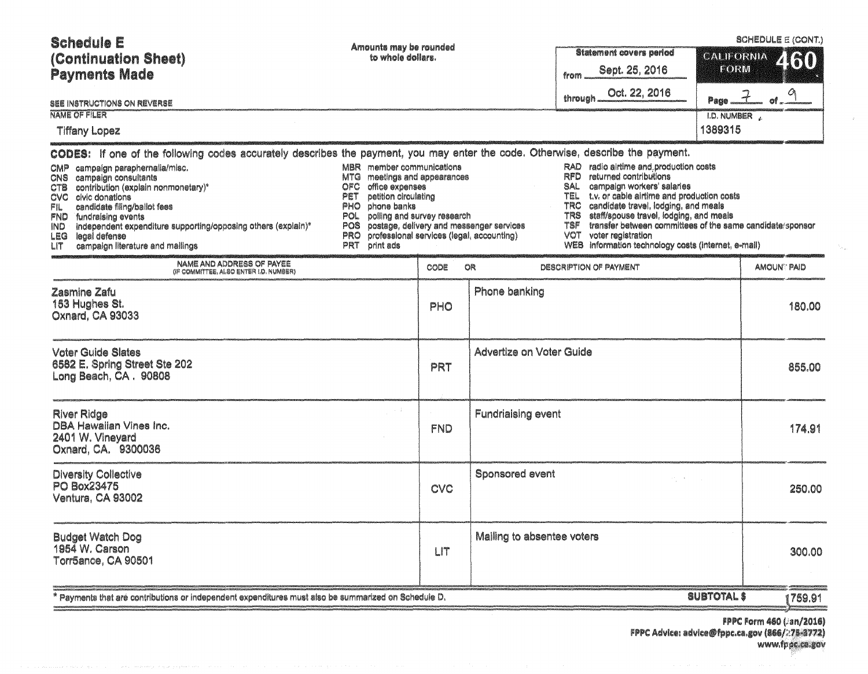| <b>Schedule E</b><br>(Continuation Sheet)<br><b>Payments Made</b>                                                                                                                                                                                                                                                                                                                                                                                                                                                                                                                                                                                                                                                                                                                                                                                                                                                                                                                                                                                                                                                                                                                                                                                                                         | Amounts may be rounded<br>to whole dollars. |            |                              | <b>Statement covers period</b><br>Sept. 25, 2016<br>from | <b>CALIFORNIA</b><br><b>FORM</b> | SCHEDULE E (CONT.)<br>460 |  |  |
|-------------------------------------------------------------------------------------------------------------------------------------------------------------------------------------------------------------------------------------------------------------------------------------------------------------------------------------------------------------------------------------------------------------------------------------------------------------------------------------------------------------------------------------------------------------------------------------------------------------------------------------------------------------------------------------------------------------------------------------------------------------------------------------------------------------------------------------------------------------------------------------------------------------------------------------------------------------------------------------------------------------------------------------------------------------------------------------------------------------------------------------------------------------------------------------------------------------------------------------------------------------------------------------------|---------------------------------------------|------------|------------------------------|----------------------------------------------------------|----------------------------------|---------------------------|--|--|
| SEE INSTRUCTIONS ON REVERSE                                                                                                                                                                                                                                                                                                                                                                                                                                                                                                                                                                                                                                                                                                                                                                                                                                                                                                                                                                                                                                                                                                                                                                                                                                                               |                                             |            | through <u>Oct. 22, 2016</u> |                                                          | Page _                           | $7 - 9$                   |  |  |
| <b>NAME OF FILER</b><br><b>Tiffany Lopez</b>                                                                                                                                                                                                                                                                                                                                                                                                                                                                                                                                                                                                                                                                                                                                                                                                                                                                                                                                                                                                                                                                                                                                                                                                                                              |                                             |            |                              |                                                          | I.D. NUMBER<br>1389315           |                           |  |  |
| CODES: If one of the following codes accurately describes the payment, you may enter the code. Otherwise, describe the payment.<br>MBR member communications<br>RAD radio airtime and production costs<br><b>CMP</b><br>campaign paraphernalia/misc.<br>returned contributions<br><b>RFD</b><br>campaign consultants<br>meetings and appearances<br>MTG.<br>CNS.<br>campaign workers' salaries<br>SAL<br>contribution (explain nonmonetary)*<br>office expenses<br>OFC.<br><b>CTB</b><br>t.v. or cable airtime and production costs<br>petition circulating<br>TEL<br>PET<br>civic donations<br>CVC<br><b>TRC</b><br>candidate travel, lodging, and meals<br>candidate filing/ballot fees<br>PHO<br>phone banks<br>FIL<br>staff/spouse travel, lodging, and meals<br><b>TRS</b><br>polling and survey research<br>POL<br>fundraising events<br>FND.<br>transfer between committees of the same candidate/sponsor<br>postage, delivery and messenger services<br>independent expenditure supporting/opposing others (explain)*<br>tsf<br>POS<br>IND.<br>voter registration<br>professional services (legal, accounting)<br>VOT<br>legal defense<br>PRO<br><b>LEG</b><br>WEB Information technology costs (internet, e-mail)<br>print ads<br>campaign literature and mailings<br>PRT<br>LIT |                                             |            |                              |                                                          |                                  |                           |  |  |
| NAME AND ADDRESS OF PAYEE<br>(IF COMMITTEE, ALSO ENTER I.D. NUMBER)                                                                                                                                                                                                                                                                                                                                                                                                                                                                                                                                                                                                                                                                                                                                                                                                                                                                                                                                                                                                                                                                                                                                                                                                                       |                                             | CODE       | OR                           | DESCRIPTION OF PAYMENT                                   |                                  | AMOUNT PAID               |  |  |
| Zasmine Zafu<br>153 Hughes St.<br>Oxnard, CA 93033                                                                                                                                                                                                                                                                                                                                                                                                                                                                                                                                                                                                                                                                                                                                                                                                                                                                                                                                                                                                                                                                                                                                                                                                                                        |                                             | PHO        | Phone banking                |                                                          |                                  | 180.00                    |  |  |
| <b>Voter Guide Slates</b><br>6582 E. Spring Street Ste 202<br>Long Beach, CA. 90808                                                                                                                                                                                                                                                                                                                                                                                                                                                                                                                                                                                                                                                                                                                                                                                                                                                                                                                                                                                                                                                                                                                                                                                                       |                                             | PRT        | Advertize on Voter Guide     |                                                          |                                  | 855.00                    |  |  |
| <b>River Ridge</b><br><b>DBA Hawallan Vines Inc.</b><br>2401 W. Vineyard<br>Oxnard, CA. 9300036                                                                                                                                                                                                                                                                                                                                                                                                                                                                                                                                                                                                                                                                                                                                                                                                                                                                                                                                                                                                                                                                                                                                                                                           | $\sim 10$                                   | <b>FND</b> | Fundrialsing event           |                                                          |                                  | 174.91                    |  |  |
| <b>Diversity Collective</b><br><b>PO Box23475</b><br>Ventura, CA 93002                                                                                                                                                                                                                                                                                                                                                                                                                                                                                                                                                                                                                                                                                                                                                                                                                                                                                                                                                                                                                                                                                                                                                                                                                    |                                             | CVC        | Sponsored event              | Police St                                                |                                  | 250.00                    |  |  |
| <b>Budget Watch Dog</b><br>1954 W. Carson<br>Torr5ance, CA 90501                                                                                                                                                                                                                                                                                                                                                                                                                                                                                                                                                                                                                                                                                                                                                                                                                                                                                                                                                                                                                                                                                                                                                                                                                          |                                             | LIT        | Mailing to absentee voters   |                                                          |                                  | 300.00                    |  |  |
| <b>SUBTOTAL \$</b><br>Payments that are contributions or independent expenditures must also be summarized on Schedule D.                                                                                                                                                                                                                                                                                                                                                                                                                                                                                                                                                                                                                                                                                                                                                                                                                                                                                                                                                                                                                                                                                                                                                                  |                                             |            |                              |                                                          |                                  |                           |  |  |

 $\sim$ 

 $\gamma_{\mu_{\rm{int}}}$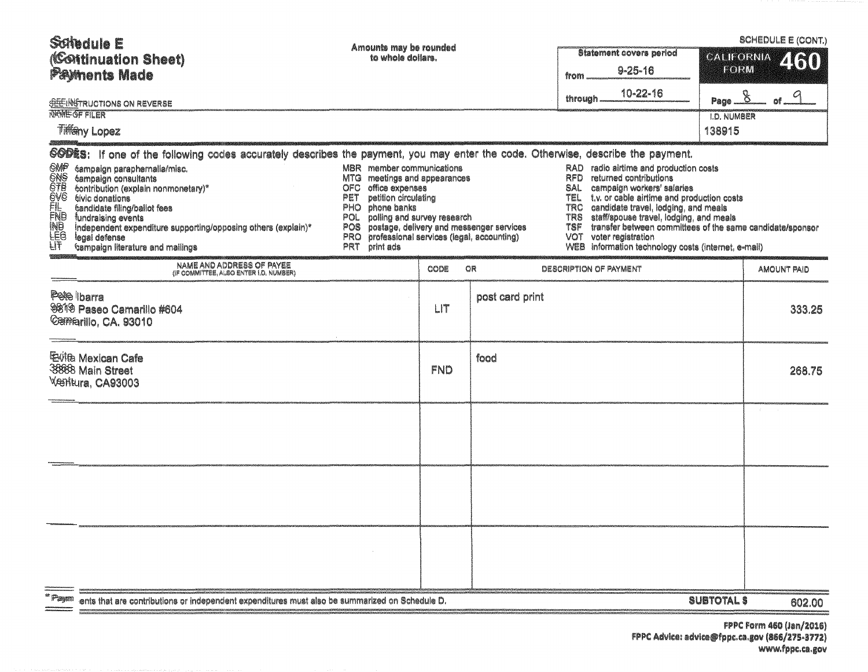| Schedule E<br>(Continuation Sheet)<br>Payments Made<br><b>SEEE INISTRUCTIONS ON REVERSE</b>                                                                                                                                                                                                                                                                                                                                                                                                                                                                                                                                                                                                                                                                                                                                                                                                                                                                                                                                                                                                                                                                                                                                            | Amounts may be rounded<br>to whole dollars. |            |                 | <b>Statement covers period</b><br>$9 - 25 - 16$<br>from<br>$10 - 22 - 16$<br>through | FORM<br>Page $8$             | SCHEDULE E (CONT.)<br>CALIFORNIA 460<br>$01 - 9$ |  |  |  |
|----------------------------------------------------------------------------------------------------------------------------------------------------------------------------------------------------------------------------------------------------------------------------------------------------------------------------------------------------------------------------------------------------------------------------------------------------------------------------------------------------------------------------------------------------------------------------------------------------------------------------------------------------------------------------------------------------------------------------------------------------------------------------------------------------------------------------------------------------------------------------------------------------------------------------------------------------------------------------------------------------------------------------------------------------------------------------------------------------------------------------------------------------------------------------------------------------------------------------------------|---------------------------------------------|------------|-----------------|--------------------------------------------------------------------------------------|------------------------------|--------------------------------------------------|--|--|--|
| <b><i>NAME-OF FILER</i></b><br><b>Tiffany Lopez</b>                                                                                                                                                                                                                                                                                                                                                                                                                                                                                                                                                                                                                                                                                                                                                                                                                                                                                                                                                                                                                                                                                                                                                                                    |                                             |            |                 |                                                                                      | <b>I.D. NUMBER</b><br>138915 |                                                  |  |  |  |
| SODES: If one of the following codes accurately describes the payment, you may enter the code. Otherwise, describe the payment.<br><b>GMP</b><br>MBR member communications<br>RAD radio airtime and production costs<br>éampaign paraphernalia/misc.<br>FFFFFFF666<br><b>tampaign</b> consultants<br>MTG meetings and appearances<br>RFD<br>returned contributions<br>contribution (explain nonmonetary)*<br>office expenses<br>SAL<br>campaign workers' salaries<br>OFC.<br>petition circulating<br>t.v. or cable airtime and production costs<br>tivic donations<br>PET<br>TEL<br>phone banks<br>candidate travel, lodging, and meals<br>sandidate filing/ballot fees<br>PHO<br><b>TRC</b><br>POL polling and survey research<br>staff/spouse travel, lodging, and meals<br>fundraising events<br><b>TRS</b><br>transfer between committees of the same candidate/sponsor<br>independent expenditure supporting/opposing others (explain)*<br>postage, delivery and messenger services<br>TSF<br>POS.<br>professional services (legal, accounting)<br>voter registration<br>legal defense<br><b>PRO</b><br>VOT<br>campaign literature and mailings<br><b>PRT</b><br>print ads<br>WEB Information technology costs (internet, e-mail) |                                             |            |                 |                                                                                      |                              |                                                  |  |  |  |
| NAME AND ADDRESS OF PAYEE<br>(IF COMMITTEE, ALSO ENTER I,D, NUMBER)                                                                                                                                                                                                                                                                                                                                                                                                                                                                                                                                                                                                                                                                                                                                                                                                                                                                                                                                                                                                                                                                                                                                                                    |                                             | CODE<br>OR |                 | <b>DESCRIPTION OF PAYMENT</b>                                                        |                              | AMOUNT PAID                                      |  |  |  |
| Pete Ibarra<br>9819 Paseo Camarillo #604<br>Camarillo, CA. 93010                                                                                                                                                                                                                                                                                                                                                                                                                                                                                                                                                                                                                                                                                                                                                                                                                                                                                                                                                                                                                                                                                                                                                                       |                                             | LIT        | post card print |                                                                                      |                              | 333.25                                           |  |  |  |
| Evita Mexican Cafe<br>3888 Main Street<br>Ventura, CA93003                                                                                                                                                                                                                                                                                                                                                                                                                                                                                                                                                                                                                                                                                                                                                                                                                                                                                                                                                                                                                                                                                                                                                                             |                                             | <b>FND</b> | food            |                                                                                      |                              | 268.75                                           |  |  |  |
|                                                                                                                                                                                                                                                                                                                                                                                                                                                                                                                                                                                                                                                                                                                                                                                                                                                                                                                                                                                                                                                                                                                                                                                                                                        |                                             |            |                 |                                                                                      |                              |                                                  |  |  |  |
|                                                                                                                                                                                                                                                                                                                                                                                                                                                                                                                                                                                                                                                                                                                                                                                                                                                                                                                                                                                                                                                                                                                                                                                                                                        |                                             |            |                 |                                                                                      |                              |                                                  |  |  |  |
|                                                                                                                                                                                                                                                                                                                                                                                                                                                                                                                                                                                                                                                                                                                                                                                                                                                                                                                                                                                                                                                                                                                                                                                                                                        |                                             |            |                 |                                                                                      |                              |                                                  |  |  |  |
| <b>SUBTOTAL \$</b><br>ents that are contributions or independent expenditures must also be summarized on Schedule D.                                                                                                                                                                                                                                                                                                                                                                                                                                                                                                                                                                                                                                                                                                                                                                                                                                                                                                                                                                                                                                                                                                                   |                                             |            |                 |                                                                                      |                              |                                                  |  |  |  |